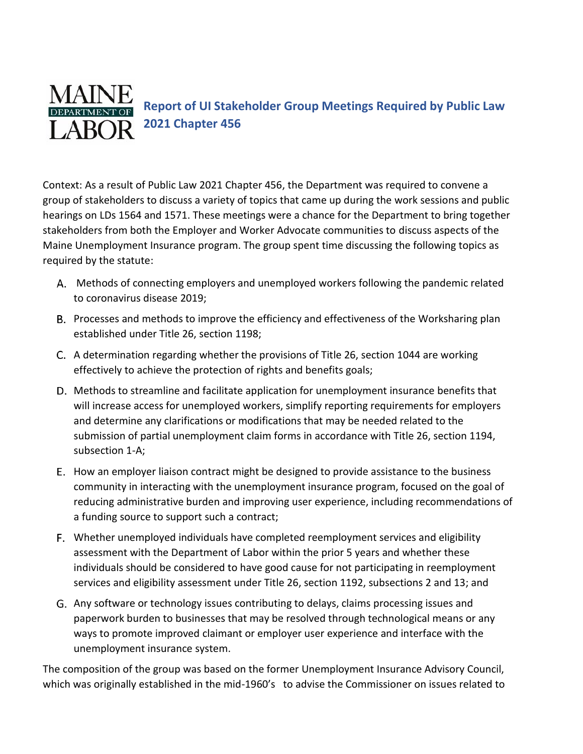

Context: As a result of [Public Law 2021 Chapter 456,](http://www.mainelegislature.org/legis/bills/getPDF.asp?paper=SP0507&item=7&snum=130) the Department was required to convene a group of stakeholders to discuss a variety of topics that came up during the work sessions and public hearings on LDs 1564 and 1571. These meetings were a chance for the Department to bring together stakeholders from both the Employer and Worker Advocate communities to discuss aspects of the Maine Unemployment Insurance program. The group spent time discussing the following topics as required by the statute:

- Methods of connecting employers and unemployed workers following the pandemic related to coronavirus disease 2019;
- B. Processes and methods to improve the efficiency and effectiveness of the Worksharing plan established under Title 26, section 1198;
- A determination regarding whether the provisions of Title 26, section 1044 are working effectively to achieve the protection of rights and benefits goals;
- D. Methods to streamline and facilitate application for unemployment insurance benefits that will increase access for unemployed workers, simplify reporting requirements for employers and determine any clarifications or modifications that may be needed related to the submission of partial unemployment claim forms in accordance with Title 26, section 1194, subsection 1-A;
- E. How an employer liaison contract might be designed to provide assistance to the business community in interacting with the unemployment insurance program, focused on the goal of reducing administrative burden and improving user experience, including recommendations of a funding source to support such a contract;
- Whether unemployed individuals have completed reemployment services and eligibility assessment with the Department of Labor within the prior 5 years and whether these individuals should be considered to have good cause for not participating in reemployment services and eligibility assessment under Title 26, section 1192, subsections 2 and 13; and
- Any software or technology issues contributing to delays, claims processing issues and paperwork burden to businesses that may be resolved through technological means or any ways to promote improved claimant or employer user experience and interface with the unemployment insurance system.

The composition of the group was based on the former Unemployment Insurance Advisory Council, which was originally established in the mid-1960's to advise the Commissioner on issues related to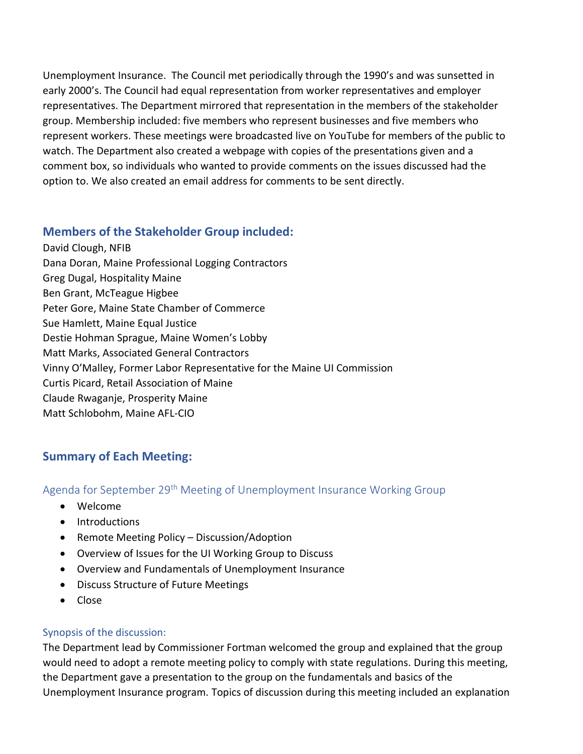Unemployment Insurance. The Council met periodically through the 1990's and was sunsetted in early 2000's. The Council had equal representation from worker representatives and employer representatives. The Department mirrored that representation in the members of the stakeholder group. Membership included: five members who represent businesses and five members who represent workers. These meetings were broadcasted live on YouTube for members of the public to watch. The Department also created a webpage with copies of the presentations given and a comment box, so individuals who wanted to provide comments on the issues discussed had the option to. We also created an email address for comments to be sent directly.

### **Members of the Stakeholder Group included:**

David Clough, NFIB Dana Doran, Maine Professional Logging Contractors Greg Dugal, Hospitality Maine Ben Grant, McTeague Higbee Peter Gore, Maine State Chamber of Commerce Sue Hamlett, Maine Equal Justice Destie Hohman Sprague, Maine Women's Lobby Matt Marks, Associated General Contractors Vinny O'Malley, Former Labor Representative for the Maine UI Commission Curtis Picard, Retail Association of Maine Claude Rwaganje, Prosperity Maine Matt Schlobohm, Maine AFL-CIO

### **Summary of Each Meeting:**

Agenda for September 29<sup>th</sup> Meeting of Unemployment Insurance Working Group

- Welcome
- Introductions
- Remote Meeting Policy Discussion/Adoption
- Overview of Issues for the UI Working Group to Discuss
- Overview and Fundamentals of Unemployment Insurance
- Discuss Structure of Future Meetings
- Close

#### Synopsis of the discussion:

The Department lead by Commissioner Fortman welcomed the group and explained that the group would need to adopt a remote meeting policy to comply with state regulations. During this meeting, the Department gave a presentation to the group on the fundamentals and basics of the Unemployment Insurance program. Topics of discussion during this meeting included an explanation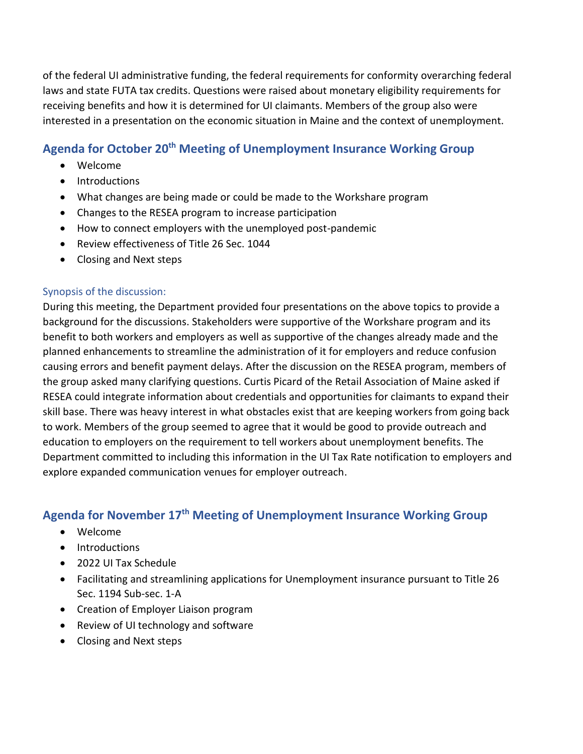of the federal UI administrative funding, the federal requirements for conformity overarching federal laws and state FUTA tax credits. Questions were raised about monetary eligibility requirements for receiving benefits and how it is determined for UI claimants. Members of the group also were interested in a presentation on the economic situation in Maine and the context of unemployment.

### **Agenda for October 20th Meeting of Unemployment Insurance Working Group**

- Welcome
- Introductions
- What changes are being made or could be made to the Workshare program
- Changes to the RESEA program to increase participation
- How to connect employers with the unemployed post-pandemic
- Review effectiveness of Title 26 Sec. 1044
- Closing and Next steps

#### Synopsis of the discussion:

During this meeting, the Department provided four presentations on the above topics to provide a background for the discussions. Stakeholders were supportive of the Workshare program and its benefit to both workers and employers as well as supportive of the changes already made and the planned enhancements to streamline the administration of it for employers and reduce confusion causing errors and benefit payment delays. After the discussion on the RESEA program, members of the group asked many clarifying questions. Curtis Picard of the Retail Association of Maine asked if RESEA could integrate information about credentials and opportunities for claimants to expand their skill base. There was heavy interest in what obstacles exist that are keeping workers from going back to work. Members of the group seemed to agree that it would be good to provide outreach and education to employers on the requirement to tell workers about unemployment benefits. The Department committed to including this information in the UI Tax Rate notification to employers and explore expanded communication venues for employer outreach.

### **Agenda for November 17th Meeting of Unemployment Insurance Working Group**

- Welcome
- Introductions
- 2022 UI Tax Schedule
- Facilitating and streamlining applications for Unemployment insurance pursuant to Title 26 Sec. 1194 Sub-sec. 1-A
- Creation of Employer Liaison program
- Review of UI technology and software
- Closing and Next steps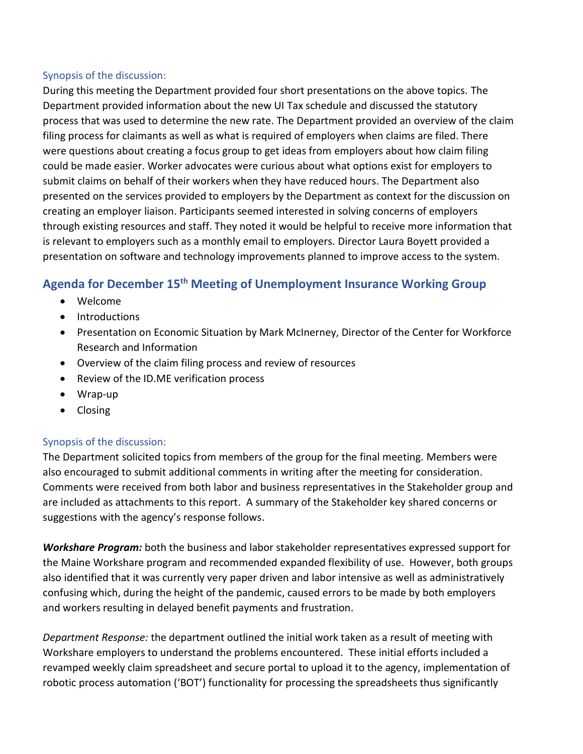#### Synopsis of the discussion:

During this meeting the Department provided four short presentations on the above topics. The Department provided information about the new UI Tax schedule and discussed the statutory process that was used to determine the new rate. The Department provided an overview of the claim filing process for claimants as well as what is required of employers when claims are filed. There were questions about creating a focus group to get ideas from employers about how claim filing could be made easier. Worker advocates were curious about what options exist for employers to submit claims on behalf of their workers when they have reduced hours. The Department also presented on the services provided to employers by the Department as context for the discussion on creating an employer liaison. Participants seemed interested in solving concerns of employers through existing resources and staff. They noted it would be helpful to receive more information that is relevant to employers such as a monthly email to employers. Director Laura Boyett provided a presentation on software and technology improvements planned to improve access to the system.

# **Agenda for December 15th Meeting of Unemployment Insurance Working Group**

- Welcome
- Introductions
- Presentation on Economic Situation by Mark McInerney, Director of the Center for Workforce Research and Information
- Overview of the claim filing process and review of resources
- Review of the ID.ME verification process
- Wrap-up
- Closing

#### Synopsis of the discussion:

The Department solicited topics from members of the group for the final meeting. Members were also encouraged to submit additional comments in writing after the meeting for consideration. Comments were received from both labor and business representatives in the Stakeholder group and are included as attachments to this report. A summary of the Stakeholder key shared concerns or suggestions with the agency's response follows.

*Workshare Program:* both the business and labor stakeholder representatives expressed support for the Maine Workshare program and recommended expanded flexibility of use. However, both groups also identified that it was currently very paper driven and labor intensive as well as administratively confusing which, during the height of the pandemic, caused errors to be made by both employers and workers resulting in delayed benefit payments and frustration.

*Department Response:* the department outlined the initial work taken as a result of meeting with Workshare employers to understand the problems encountered. These initial efforts included a revamped weekly claim spreadsheet and secure portal to upload it to the agency, implementation of robotic process automation ('BOT') functionality for processing the spreadsheets thus significantly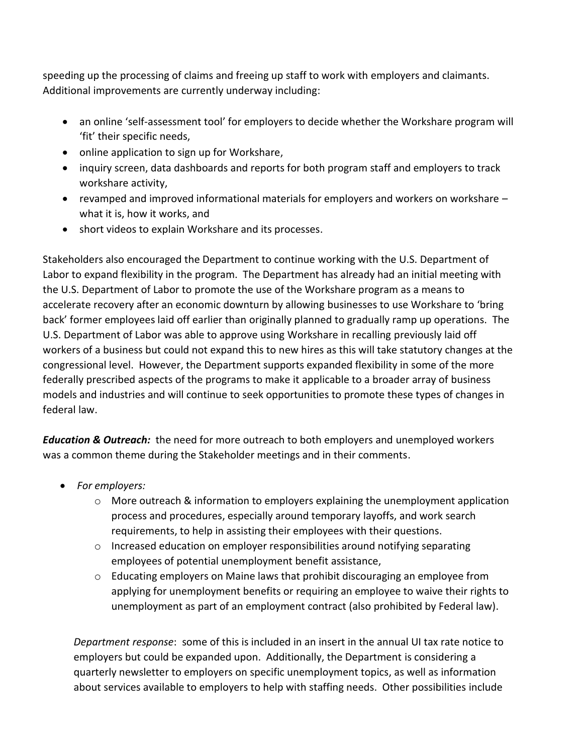speeding up the processing of claims and freeing up staff to work with employers and claimants. Additional improvements are currently underway including:

- an online 'self-assessment tool' for employers to decide whether the Workshare program will 'fit' their specific needs,
- online application to sign up for Workshare,
- inquiry screen, data dashboards and reports for both program staff and employers to track workshare activity,
- revamped and improved informational materials for employers and workers on workshare what it is, how it works, and
- short videos to explain Workshare and its processes.

Stakeholders also encouraged the Department to continue working with the U.S. Department of Labor to expand flexibility in the program. The Department has already had an initial meeting with the U.S. Department of Labor to promote the use of the Workshare program as a means to accelerate recovery after an economic downturn by allowing businesses to use Workshare to 'bring back' former employees laid off earlier than originally planned to gradually ramp up operations. The U.S. Department of Labor was able to approve using Workshare in recalling previously laid off workers of a business but could not expand this to new hires as this will take statutory changes at the congressional level. However, the Department supports expanded flexibility in some of the more federally prescribed aspects of the programs to make it applicable to a broader array of business models and industries and will continue to seek opportunities to promote these types of changes in federal law.

*Education & Outreach:* the need for more outreach to both employers and unemployed workers was a common theme during the Stakeholder meetings and in their comments.

- *For employers:*
	- $\circ$  More outreach & information to employers explaining the unemployment application process and procedures, especially around temporary layoffs, and work search requirements, to help in assisting their employees with their questions.
	- $\circ$  Increased education on employer responsibilities around notifying separating employees of potential unemployment benefit assistance,
	- o Educating employers on Maine laws that prohibit discouraging an employee from applying for unemployment benefits or requiring an employee to waive their rights to unemployment as part of an employment contract (also prohibited by Federal law).

*Department response*: some of this is included in an insert in the annual UI tax rate notice to employers but could be expanded upon. Additionally, the Department is considering a quarterly newsletter to employers on specific unemployment topics, as well as information about services available to employers to help with staffing needs. Other possibilities include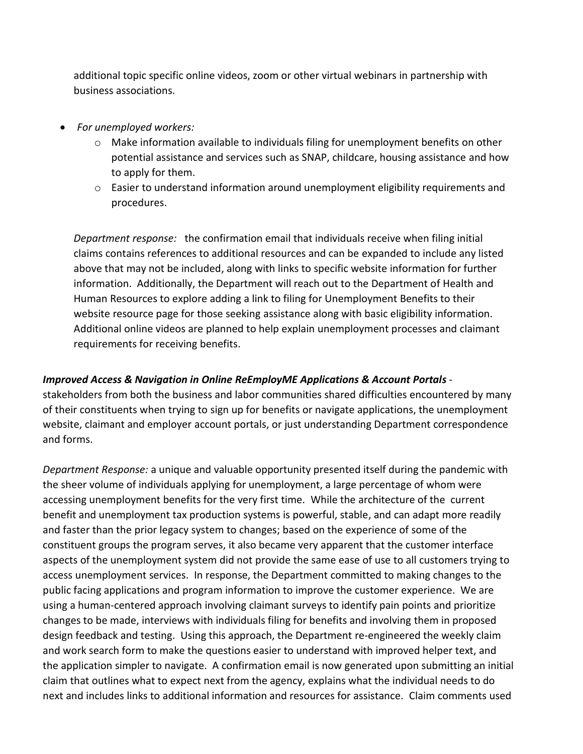additional topic specific online videos, zoom or other virtual webinars in partnership with business associations.

- *For unemployed workers:*
	- $\circ$  Make information available to individuals filing for unemployment benefits on other potential assistance and services such as SNAP, childcare, housing assistance and how to apply for them.
	- o Easier to understand information around unemployment eligibility requirements and procedures.

*Department response:* the confirmation email that individuals receive when filing initial claims contains references to additional resources and can be expanded to include any listed above that may not be included, along with links to specific website information for further information. Additionally, the Department will reach out to the Department of Health and Human Resources to explore adding a link to filing for Unemployment Benefits to their website resource page for those seeking assistance along with basic eligibility information. Additional online videos are planned to help explain unemployment processes and claimant requirements for receiving benefits.

#### *Improved Access & Navigation in Online ReEmployME Applications & Account Portals* -

stakeholders from both the business and labor communities shared difficulties encountered by many of their constituents when trying to sign up for benefits or navigate applications, the unemployment website, claimant and employer account portals, or just understanding Department correspondence and forms.

*Department Response:* a unique and valuable opportunity presented itself during the pandemic with the sheer volume of individuals applying for unemployment, a large percentage of whom were accessing unemployment benefits for the very first time. While the architecture of the current benefit and unemployment tax production systems is powerful, stable, and can adapt more readily and faster than the prior legacy system to changes; based on the experience of some of the constituent groups the program serves, it also became very apparent that the customer interface aspects of the unemployment system did not provide the same ease of use to all customers trying to access unemployment services. In response, the Department committed to making changes to the public facing applications and program information to improve the customer experience. We are using a human-centered approach involving claimant surveys to identify pain points and prioritize changes to be made, interviews with individuals filing for benefits and involving them in proposed design feedback and testing. Using this approach, the Department re-engineered the weekly claim and work search form to make the questions easier to understand with improved helper text, and the application simpler to navigate. A confirmation email is now generated upon submitting an initial claim that outlines what to expect next from the agency, explains what the individual needs to do next and includes links to additional information and resources for assistance. Claim comments used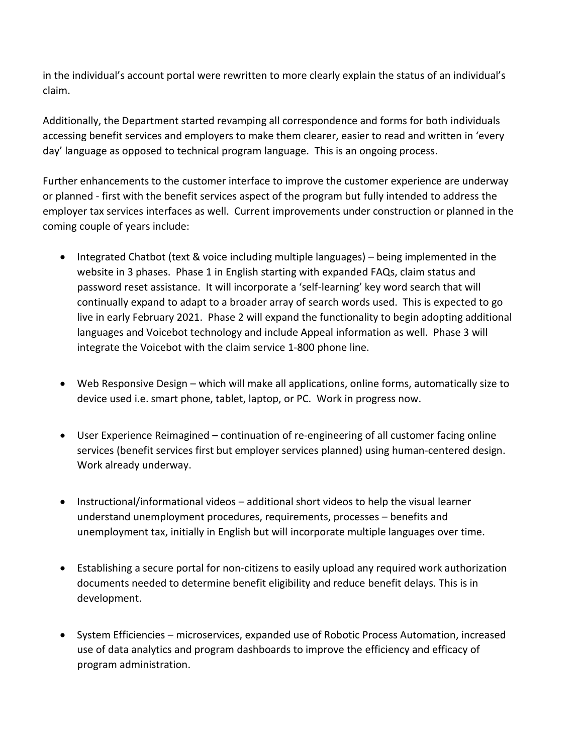in the individual's account portal were rewritten to more clearly explain the status of an individual's claim.

Additionally, the Department started revamping all correspondence and forms for both individuals accessing benefit services and employers to make them clearer, easier to read and written in 'every day' language as opposed to technical program language. This is an ongoing process.

Further enhancements to the customer interface to improve the customer experience are underway or planned - first with the benefit services aspect of the program but fully intended to address the employer tax services interfaces as well. Current improvements under construction or planned in the coming couple of years include:

- Integrated Chatbot (text & voice including multiple languages) being implemented in the website in 3 phases. Phase 1 in English starting with expanded FAQs, claim status and password reset assistance. It will incorporate a 'self-learning' key word search that will continually expand to adapt to a broader array of search words used. This is expected to go live in early February 2021. Phase 2 will expand the functionality to begin adopting additional languages and Voicebot technology and include Appeal information as well. Phase 3 will integrate the Voicebot with the claim service 1-800 phone line.
- Web Responsive Design which will make all applications, online forms, automatically size to device used i.e. smart phone, tablet, laptop, or PC. Work in progress now.
- User Experience Reimagined continuation of re-engineering of all customer facing online services (benefit services first but employer services planned) using human-centered design. Work already underway.
- Instructional/informational videos additional short videos to help the visual learner understand unemployment procedures, requirements, processes – benefits and unemployment tax, initially in English but will incorporate multiple languages over time.
- Establishing a secure portal for non-citizens to easily upload any required work authorization documents needed to determine benefit eligibility and reduce benefit delays. This is in development.
- System Efficiencies microservices, expanded use of Robotic Process Automation, increased use of data analytics and program dashboards to improve the efficiency and efficacy of program administration.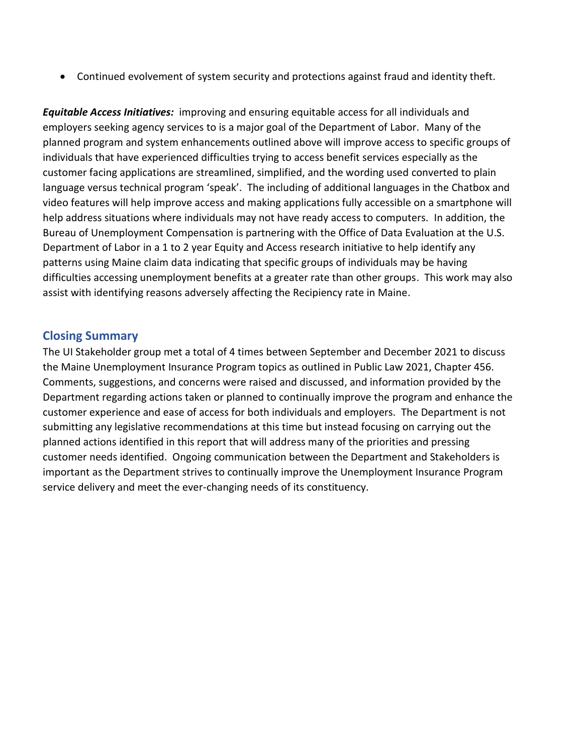• Continued evolvement of system security and protections against fraud and identity theft.

*Equitable Access Initiatives:* improving and ensuring equitable access for all individuals and employers seeking agency services to is a major goal of the Department of Labor. Many of the planned program and system enhancements outlined above will improve access to specific groups of individuals that have experienced difficulties trying to access benefit services especially as the customer facing applications are streamlined, simplified, and the wording used converted to plain language versus technical program 'speak'. The including of additional languages in the Chatbox and video features will help improve access and making applications fully accessible on a smartphone will help address situations where individuals may not have ready access to computers. In addition, the Bureau of Unemployment Compensation is partnering with the Office of Data Evaluation at the U.S. Department of Labor in a 1 to 2 year Equity and Access research initiative to help identify any patterns using Maine claim data indicating that specific groups of individuals may be having difficulties accessing unemployment benefits at a greater rate than other groups. This work may also assist with identifying reasons adversely affecting the Recipiency rate in Maine.

#### **Closing Summary**

The UI Stakeholder group met a total of 4 times between September and December 2021 to discuss the Maine Unemployment Insurance Program topics as outlined in Public Law 2021, Chapter 456. Comments, suggestions, and concerns were raised and discussed, and information provided by the Department regarding actions taken or planned to continually improve the program and enhance the customer experience and ease of access for both individuals and employers. The Department is not submitting any legislative recommendations at this time but instead focusing on carrying out the planned actions identified in this report that will address many of the priorities and pressing customer needs identified. Ongoing communication between the Department and Stakeholders is important as the Department strives to continually improve the Unemployment Insurance Program service delivery and meet the ever-changing needs of its constituency.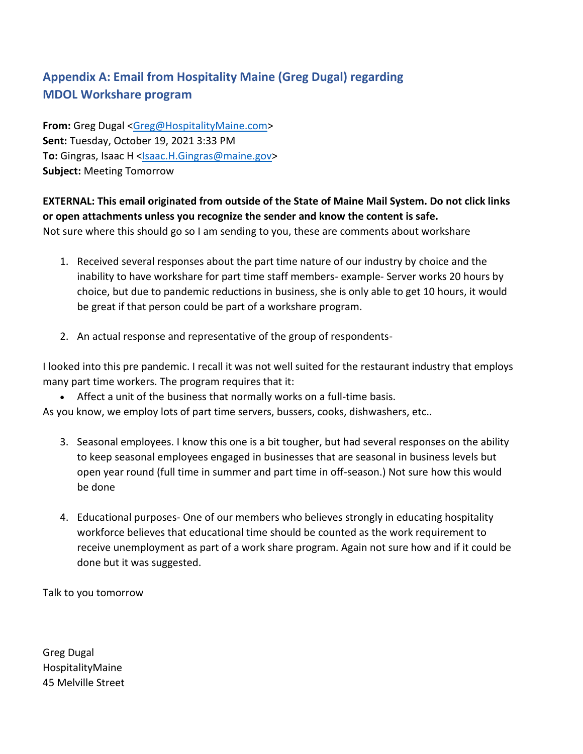# **Appendix A: Email from Hospitality Maine (Greg Dugal) regarding MDOL Workshare program**

**From:** Greg Dugal [<Greg@HospitalityMaine.com>](mailto:Greg@HospitalityMaine.com) **Sent:** Tuesday, October 19, 2021 3:33 PM To: Gingras, Isaac H [<Isaac.H.Gingras@maine.gov>](mailto:Isaac.H.Gingras@maine.gov) **Subject:** Meeting Tomorrow

**EXTERNAL: This email originated from outside of the State of Maine Mail System. Do not click links or open attachments unless you recognize the sender and know the content is safe.**

Not sure where this should go so I am sending to you, these are comments about workshare

- 1. Received several responses about the part time nature of our industry by choice and the inability to have workshare for part time staff members- example- Server works 20 hours by choice, but due to pandemic reductions in business, she is only able to get 10 hours, it would be great if that person could be part of a workshare program.
- 2. An actual response and representative of the group of respondents-

I looked into this pre pandemic. I recall it was not well suited for the restaurant industry that employs many part time workers. The program requires that it:

• Affect a unit of the business that normally works on a full-time basis.

As you know, we employ lots of part time servers, bussers, cooks, dishwashers, etc..

- 3. Seasonal employees. I know this one is a bit tougher, but had several responses on the ability to keep seasonal employees engaged in businesses that are seasonal in business levels but open year round (full time in summer and part time in off-season.) Not sure how this would be done
- 4. Educational purposes- One of our members who believes strongly in educating hospitality workforce believes that educational time should be counted as the work requirement to receive unemployment as part of a work share program. Again not sure how and if it could be done but it was suggested.

Talk to you tomorrow

Greg Dugal HospitalityMaine 45 Melville Street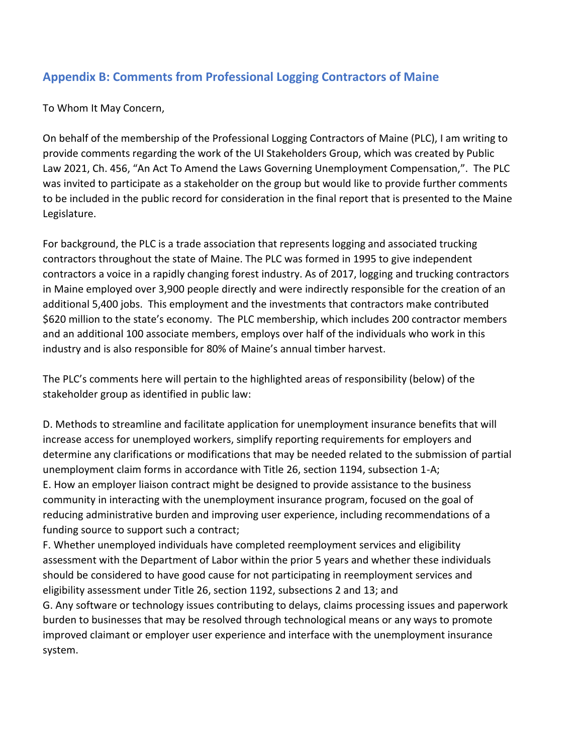# **Appendix B: Comments from Professional Logging Contractors of Maine**

To Whom It May Concern,

On behalf of the membership of the Professional Logging Contractors of Maine (PLC), I am writing to provide comments regarding the work of the UI Stakeholders Group, which was created by Public Law 2021, Ch. 456, "An Act To Amend the Laws Governing Unemployment Compensation,". The PLC was invited to participate as a stakeholder on the group but would like to provide further comments to be included in the public record for consideration in the final report that is presented to the Maine Legislature.

For background, the PLC is a trade association that represents logging and associated trucking contractors throughout the state of Maine. The PLC was formed in 1995 to give independent contractors a voice in a rapidly changing forest industry. As of 2017, logging and trucking contractors in Maine employed over 3,900 people directly and were indirectly responsible for the creation of an additional 5,400 jobs. This employment and the investments that contractors make contributed \$620 million to the state's economy. The PLC membership, which includes 200 contractor members and an additional 100 associate members, employs over half of the individuals who work in this industry and is also responsible for 80% of Maine's annual timber harvest.

The PLC's comments here will pertain to the highlighted areas of responsibility (below) of the stakeholder group as identified in public law:

D. Methods to streamline and facilitate application for unemployment insurance benefits that will increase access for unemployed workers, simplify reporting requirements for employers and determine any clarifications or modifications that may be needed related to the submission of partial unemployment claim forms in accordance with Title 26, section 1194, subsection 1-A; E. How an employer liaison contract might be designed to provide assistance to the business community in interacting with the unemployment insurance program, focused on the goal of reducing administrative burden and improving user experience, including recommendations of a funding source to support such a contract;

F. Whether unemployed individuals have completed reemployment services and eligibility assessment with the Department of Labor within the prior 5 years and whether these individuals should be considered to have good cause for not participating in reemployment services and eligibility assessment under Title 26, section 1192, subsections 2 and 13; and

G. Any software or technology issues contributing to delays, claims processing issues and paperwork burden to businesses that may be resolved through technological means or any ways to promote improved claimant or employer user experience and interface with the unemployment insurance system.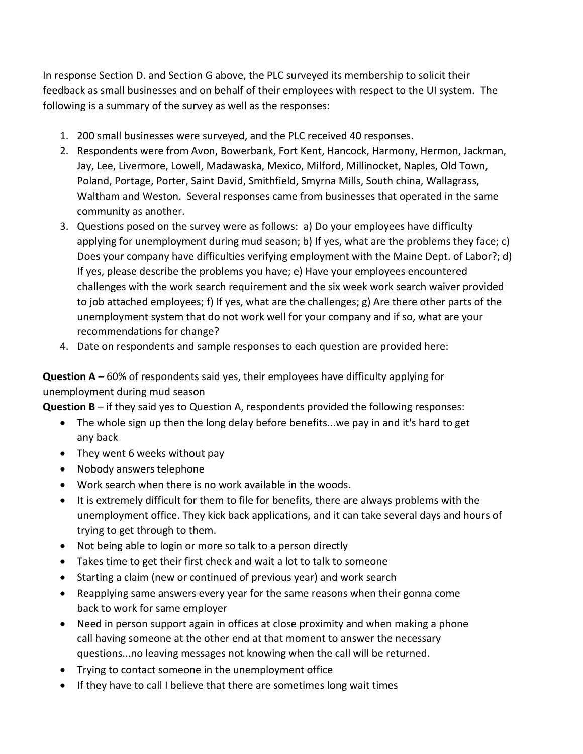In response Section D. and Section G above, the PLC surveyed its membership to solicit their feedback as small businesses and on behalf of their employees with respect to the UI system. The following is a summary of the survey as well as the responses:

- 1. 200 small businesses were surveyed, and the PLC received 40 responses.
- 2. Respondents were from Avon, Bowerbank, Fort Kent, Hancock, Harmony, Hermon, Jackman, Jay, Lee, Livermore, Lowell, Madawaska, Mexico, Milford, Millinocket, Naples, Old Town, Poland, Portage, Porter, Saint David, Smithfield, Smyrna Mills, South china, Wallagrass, Waltham and Weston. Several responses came from businesses that operated in the same community as another.
- 3. Questions posed on the survey were as follows: a) Do your employees have difficulty applying for unemployment during mud season; b) If yes, what are the problems they face; c) Does your company have difficulties verifying employment with the Maine Dept. of Labor?; d) If yes, please describe the problems you have; e) Have your employees encountered challenges with the work search requirement and the six week work search waiver provided to job attached employees; f) If yes, what are the challenges; g) Are there other parts of the unemployment system that do not work well for your company and if so, what are your recommendations for change?
- 4. Date on respondents and sample responses to each question are provided here:

**Question A** – 60% of respondents said yes, their employees have difficulty applying for unemployment during mud season

**Question B** – if they said yes to Question A, respondents provided the following responses:

- The whole sign up then the long delay before benefits...we pay in and it's hard to get any back
- They went 6 weeks without pay
- Nobody answers telephone
- Work search when there is no work available in the woods.
- It is extremely difficult for them to file for benefits, there are always problems with the unemployment office. They kick back applications, and it can take several days and hours of trying to get through to them.
- Not being able to login or more so talk to a person directly
- Takes time to get their first check and wait a lot to talk to someone
- Starting a claim (new or continued of previous year) and work search
- Reapplying same answers every year for the same reasons when their gonna come back to work for same employer
- Need in person support again in offices at close proximity and when making a phone call having someone at the other end at that moment to answer the necessary questions...no leaving messages not knowing when the call will be returned.
- Trying to contact someone in the unemployment office
- If they have to call I believe that there are sometimes long wait times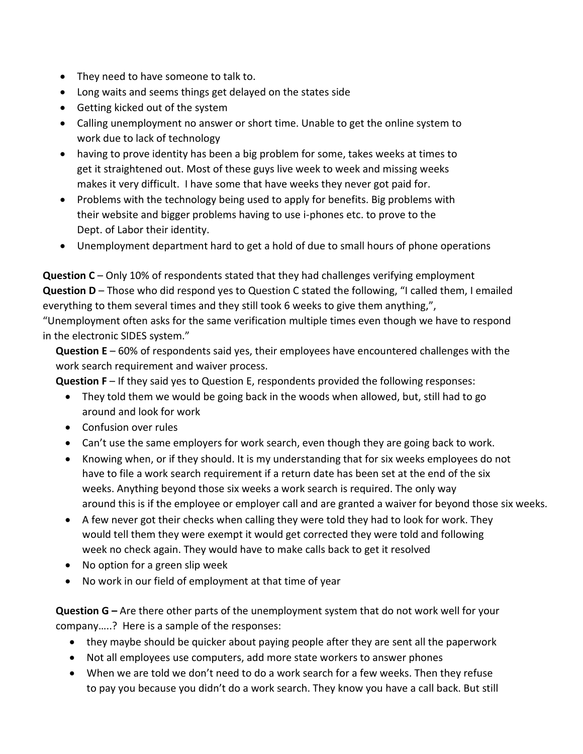- They need to have someone to talk to.
- Long waits and seems things get delayed on the states side
- Getting kicked out of the system
- Calling unemployment no answer or short time. Unable to get the online system to work due to lack of technology
- having to prove identity has been a big problem for some, takes weeks at times to get it straightened out. Most of these guys live week to week and missing weeks makes it very difficult. I have some that have weeks they never got paid for.
- Problems with the technology being used to apply for benefits. Big problems with their website and bigger problems having to use i-phones etc. to prove to the Dept. of Labor their identity.
- Unemployment department hard to get a hold of due to small hours of phone operations

**Question C** – Only 10% of respondents stated that they had challenges verifying employment **Question D** – Those who did respond yes to Question C stated the following, "I called them, I emailed everything to them several times and they still took 6 weeks to give them anything,",

"Unemployment often asks for the same verification multiple times even though we have to respond in the electronic SIDES system."

**Question E** – 60% of respondents said yes, their employees have encountered challenges with the work search requirement and waiver process.

**Question F** – If they said yes to Question E, respondents provided the following responses:

- They told them we would be going back in the woods when allowed, but, still had to go around and look for work
- Confusion over rules
- Can't use the same employers for work search, even though they are going back to work.
- Knowing when, or if they should. It is my understanding that for six weeks employees do not have to file a work search requirement if a return date has been set at the end of the six weeks. Anything beyond those six weeks a work search is required. The only way around this is if the employee or employer call and are granted a waiver for beyond those six weeks.
- A few never got their checks when calling they were told they had to look for work. They would tell them they were exempt it would get corrected they were told and following week no check again. They would have to make calls back to get it resolved
- No option for a green slip week
- No work in our field of employment at that time of year

**Question G** – Are there other parts of the unemployment system that do not work well for your company…..? Here is a sample of the responses:

- they maybe should be quicker about paying people after they are sent all the paperwork
- Not all employees use computers, add more state workers to answer phones
- When we are told we don't need to do a work search for a few weeks. Then they refuse to pay you because you didn't do a work search. They know you have a call back. But still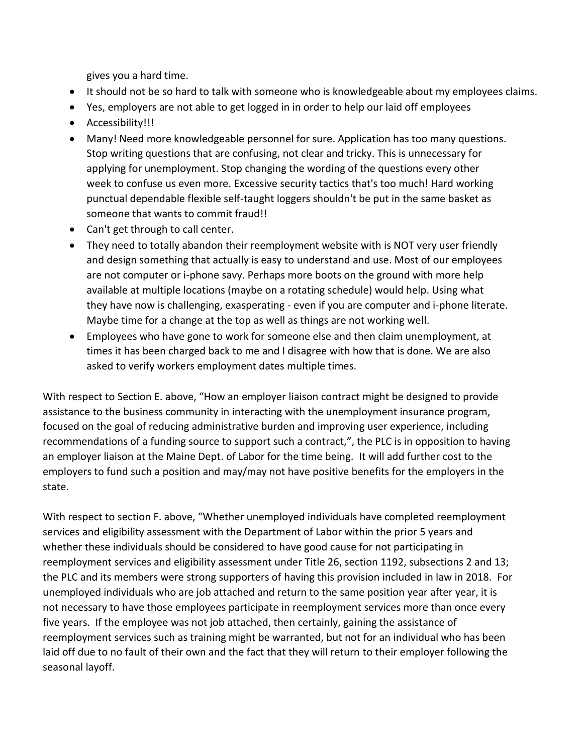gives you a hard time.

- It should not be so hard to talk with someone who is knowledgeable about my employees claims.
- Yes, employers are not able to get logged in in order to help our laid off employees
- Accessibility!!!
- Many! Need more knowledgeable personnel for sure. Application has too many questions. Stop writing questions that are confusing, not clear and tricky. This is unnecessary for applying for unemployment. Stop changing the wording of the questions every other week to confuse us even more. Excessive security tactics that's too much! Hard working punctual dependable flexible self-taught loggers shouldn't be put in the same basket as someone that wants to commit fraud!!
- Can't get through to call center.
- They need to totally abandon their reemployment website with is NOT very user friendly and design something that actually is easy to understand and use. Most of our employees are not computer or i-phone savy. Perhaps more boots on the ground with more help available at multiple locations (maybe on a rotating schedule) would help. Using what they have now is challenging, exasperating - even if you are computer and i-phone literate. Maybe time for a change at the top as well as things are not working well.
- Employees who have gone to work for someone else and then claim unemployment, at times it has been charged back to me and I disagree with how that is done. We are also asked to verify workers employment dates multiple times.

With respect to Section E. above, "How an employer liaison contract might be designed to provide assistance to the business community in interacting with the unemployment insurance program, focused on the goal of reducing administrative burden and improving user experience, including recommendations of a funding source to support such a contract,", the PLC is in opposition to having an employer liaison at the Maine Dept. of Labor for the time being. It will add further cost to the employers to fund such a position and may/may not have positive benefits for the employers in the state.

With respect to section F. above, "Whether unemployed individuals have completed reemployment services and eligibility assessment with the Department of Labor within the prior 5 years and whether these individuals should be considered to have good cause for not participating in reemployment services and eligibility assessment under Title 26, section 1192, subsections 2 and 13; the PLC and its members were strong supporters of having this provision included in law in 2018. For unemployed individuals who are job attached and return to the same position year after year, it is not necessary to have those employees participate in reemployment services more than once every five years. If the employee was not job attached, then certainly, gaining the assistance of reemployment services such as training might be warranted, but not for an individual who has been laid off due to no fault of their own and the fact that they will return to their employer following the seasonal layoff.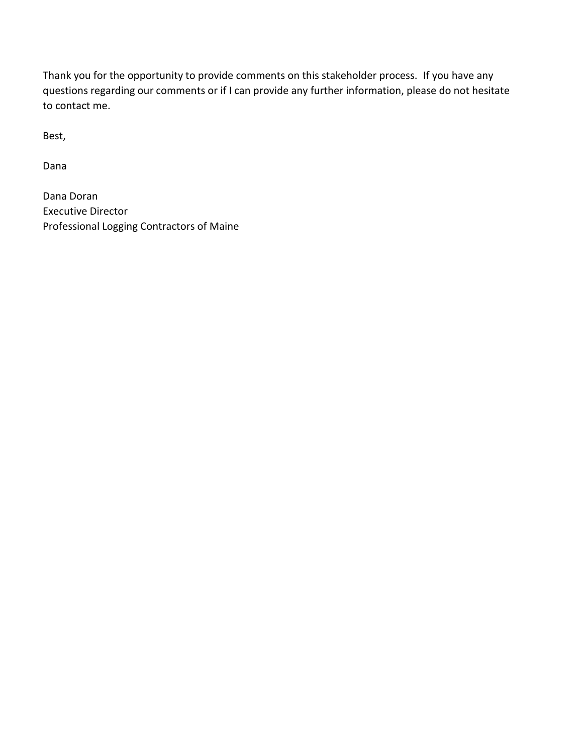Thank you for the opportunity to provide comments on this stakeholder process. If you have any questions regarding our comments or if I can provide any further information, please do not hesitate to contact me.

Best,

Dana

Dana Doran Executive Director Professional Logging Contractors of Maine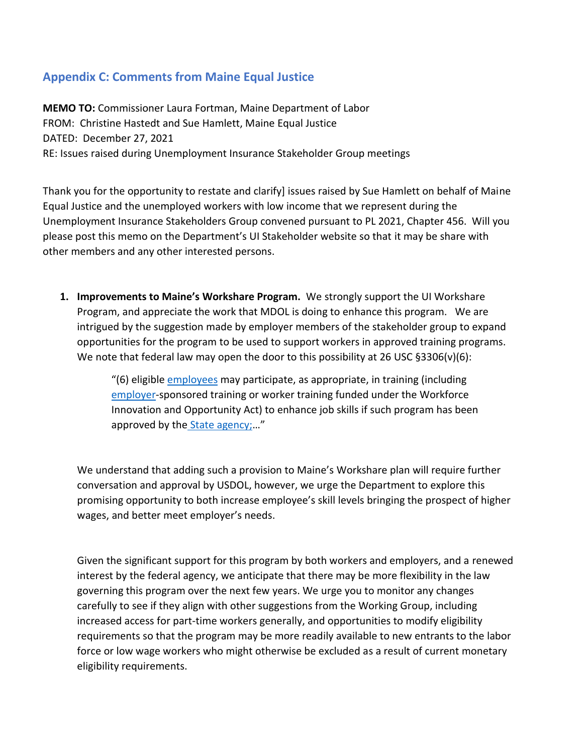# **Appendix C: Comments from Maine Equal Justice**

**MEMO TO:** Commissioner Laura Fortman, Maine Department of Labor FROM: Christine Hastedt and Sue Hamlett, Maine Equal Justice DATED: December 27, 2021 RE: Issues raised during Unemployment Insurance Stakeholder Group meetings

Thank you for the opportunity to restate and clarify] issues raised by Sue Hamlett on behalf of Maine Equal Justice and the unemployed workers with low income that we represent during the Unemployment Insurance Stakeholders Group convened pursuant to PL 2021, Chapter 456. Will you please post this memo on the Department's UI Stakeholder website so that it may be share with other members and any other interested persons.

**1. Improvements to Maine's Workshare Program.** We strongly support the UI Workshare Program, and appreciate the work that MDOL is doing to enhance this program. We are intrigued by the suggestion made by employer members of the stakeholder group to expand opportunities for the program to be used to support workers in approved training programs. We note that federal law may open the door to this possibility at 26 USC  $\S 3306(v)(6)$ :

> "(6) eligible *employees* may participate, as appropriate, in training (including [employer-](https://www.law.cornell.edu/definitions/uscode.php?width=840&height=800&iframe=true&def_id=26-USC-1193469627-1913940472&term_occur=999&term_src=title:26:subtitle:C:chapter:23:section:3306)sponsored training or worker training funded under the Workforce Innovation and Opportunity Act) to enhance job skills if such program has been approved by the [State agency;](https://www.law.cornell.edu/definitions/uscode.php?width=840&height=800&iframe=true&def_id=26-USC-116457836-1503665925&term_occur=999&term_src=title:26:subtitle:C:chapter:23:section:3306)…"

We understand that adding such a provision to Maine's Workshare plan will require further conversation and approval by USDOL, however, we urge the Department to explore this promising opportunity to both increase employee's skill levels bringing the prospect of higher wages, and better meet employer's needs.

Given the significant support for this program by both workers and employers, and a renewed interest by the federal agency, we anticipate that there may be more flexibility in the law governing this program over the next few years. We urge you to monitor any changes carefully to see if they align with other suggestions from the Working Group, including increased access for part-time workers generally, and opportunities to modify eligibility requirements so that the program may be more readily available to new entrants to the labor force or low wage workers who might otherwise be excluded as a result of current monetary eligibility requirements.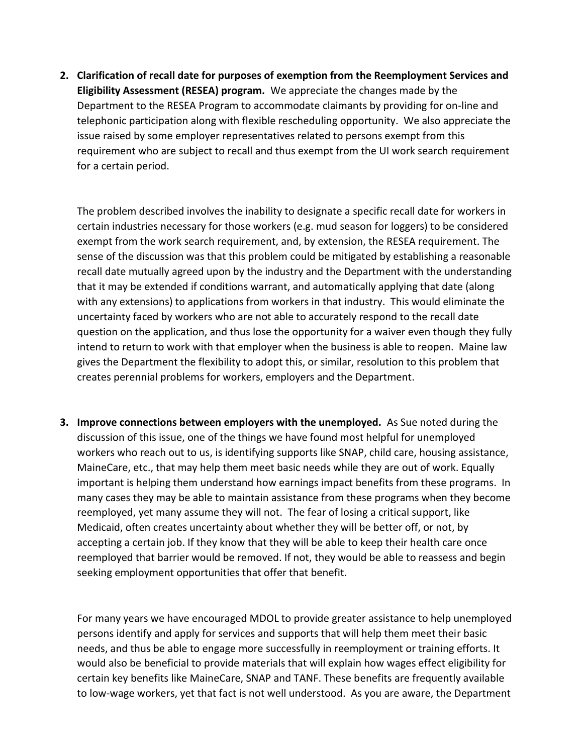**2. Clarification of recall date for purposes of exemption from the Reemployment Services and Eligibility Assessment (RESEA) program.** We appreciate the changes made by the Department to the RESEA Program to accommodate claimants by providing for on-line and telephonic participation along with flexible rescheduling opportunity. We also appreciate the issue raised by some employer representatives related to persons exempt from this requirement who are subject to recall and thus exempt from the UI work search requirement for a certain period.

The problem described involves the inability to designate a specific recall date for workers in certain industries necessary for those workers (e.g. mud season for loggers) to be considered exempt from the work search requirement, and, by extension, the RESEA requirement. The sense of the discussion was that this problem could be mitigated by establishing a reasonable recall date mutually agreed upon by the industry and the Department with the understanding that it may be extended if conditions warrant, and automatically applying that date (along with any extensions) to applications from workers in that industry. This would eliminate the uncertainty faced by workers who are not able to accurately respond to the recall date question on the application, and thus lose the opportunity for a waiver even though they fully intend to return to work with that employer when the business is able to reopen. Maine law gives the Department the flexibility to adopt this, or similar, resolution to this problem that creates perennial problems for workers, employers and the Department.

**3. Improve connections between employers with the unemployed.** As Sue noted during the discussion of this issue, one of the things we have found most helpful for unemployed workers who reach out to us, is identifying supports like SNAP, child care, housing assistance, MaineCare, etc., that may help them meet basic needs while they are out of work. Equally important is helping them understand how earnings impact benefits from these programs. In many cases they may be able to maintain assistance from these programs when they become reemployed, yet many assume they will not. The fear of losing a critical support, like Medicaid, often creates uncertainty about whether they will be better off, or not, by accepting a certain job. If they know that they will be able to keep their health care once reemployed that barrier would be removed. If not, they would be able to reassess and begin seeking employment opportunities that offer that benefit.

For many years we have encouraged MDOL to provide greater assistance to help unemployed persons identify and apply for services and supports that will help them meet their basic needs, and thus be able to engage more successfully in reemployment or training efforts. It would also be beneficial to provide materials that will explain how wages effect eligibility for certain key benefits like MaineCare, SNAP and TANF. These benefits are frequently available to low-wage workers, yet that fact is not well understood. As you are aware, the Department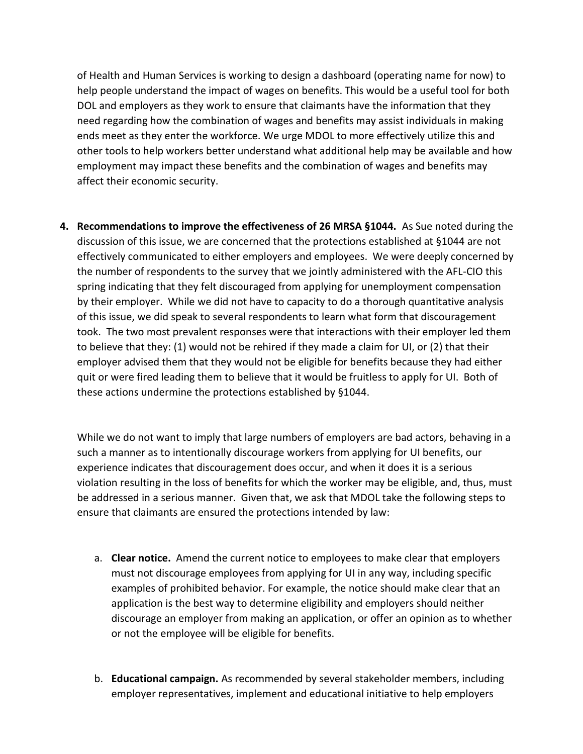of Health and Human Services is working to design a dashboard (operating name for now) to help people understand the impact of wages on benefits. This would be a useful tool for both DOL and employers as they work to ensure that claimants have the information that they need regarding how the combination of wages and benefits may assist individuals in making ends meet as they enter the workforce. We urge MDOL to more effectively utilize this and other tools to help workers better understand what additional help may be available and how employment may impact these benefits and the combination of wages and benefits may affect their economic security.

**4. Recommendations to improve the effectiveness of 26 MRSA §1044.** As Sue noted during the discussion of this issue, we are concerned that the protections established at §1044 are not effectively communicated to either employers and employees. We were deeply concerned by the number of respondents to the survey that we jointly administered with the AFL-CIO this spring indicating that they felt discouraged from applying for unemployment compensation by their employer. While we did not have to capacity to do a thorough quantitative analysis of this issue, we did speak to several respondents to learn what form that discouragement took. The two most prevalent responses were that interactions with their employer led them to believe that they: (1) would not be rehired if they made a claim for UI, or (2) that their employer advised them that they would not be eligible for benefits because they had either quit or were fired leading them to believe that it would be fruitless to apply for UI. Both of these actions undermine the protections established by §1044.

While we do not want to imply that large numbers of employers are bad actors, behaving in a such a manner as to intentionally discourage workers from applying for UI benefits, our experience indicates that discouragement does occur, and when it does it is a serious violation resulting in the loss of benefits for which the worker may be eligible, and, thus, must be addressed in a serious manner. Given that, we ask that MDOL take the following steps to ensure that claimants are ensured the protections intended by law:

- a. **Clear notice.** Amend the current notice to employees to make clear that employers must not discourage employees from applying for UI in any way, including specific examples of prohibited behavior. For example, the notice should make clear that an application is the best way to determine eligibility and employers should neither discourage an employer from making an application, or offer an opinion as to whether or not the employee will be eligible for benefits.
- b. **Educational campaign.** As recommended by several stakeholder members, including employer representatives, implement and educational initiative to help employers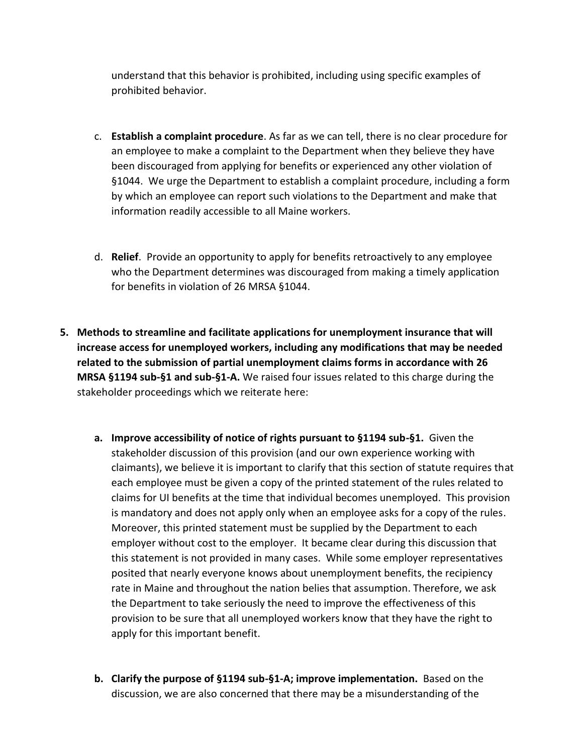understand that this behavior is prohibited, including using specific examples of prohibited behavior.

- c. **Establish a complaint procedure**. As far as we can tell, there is no clear procedure for an employee to make a complaint to the Department when they believe they have been discouraged from applying for benefits or experienced any other violation of §1044. We urge the Department to establish a complaint procedure, including a form by which an employee can report such violations to the Department and make that information readily accessible to all Maine workers.
- d. **Relief**. Provide an opportunity to apply for benefits retroactively to any employee who the Department determines was discouraged from making a timely application for benefits in violation of 26 MRSA §1044.
- **5. Methods to streamline and facilitate applications for unemployment insurance that will increase access for unemployed workers, including any modifications that may be needed related to the submission of partial unemployment claims forms in accordance with 26 MRSA §1194 sub-§1 and sub-§1-A.** We raised four issues related to this charge during the stakeholder proceedings which we reiterate here:
	- **a. Improve accessibility of notice of rights pursuant to §1194 sub-§1.** Given the stakeholder discussion of this provision (and our own experience working with claimants), we believe it is important to clarify that this section of statute requires that each employee must be given a copy of the printed statement of the rules related to claims for UI benefits at the time that individual becomes unemployed. This provision is mandatory and does not apply only when an employee asks for a copy of the rules. Moreover, this printed statement must be supplied by the Department to each employer without cost to the employer. It became clear during this discussion that this statement is not provided in many cases. While some employer representatives posited that nearly everyone knows about unemployment benefits, the recipiency rate in Maine and throughout the nation belies that assumption. Therefore, we ask the Department to take seriously the need to improve the effectiveness of this provision to be sure that all unemployed workers know that they have the right to apply for this important benefit.
	- **b. Clarify the purpose of §1194 sub-§1-A; improve implementation.** Based on the discussion, we are also concerned that there may be a misunderstanding of the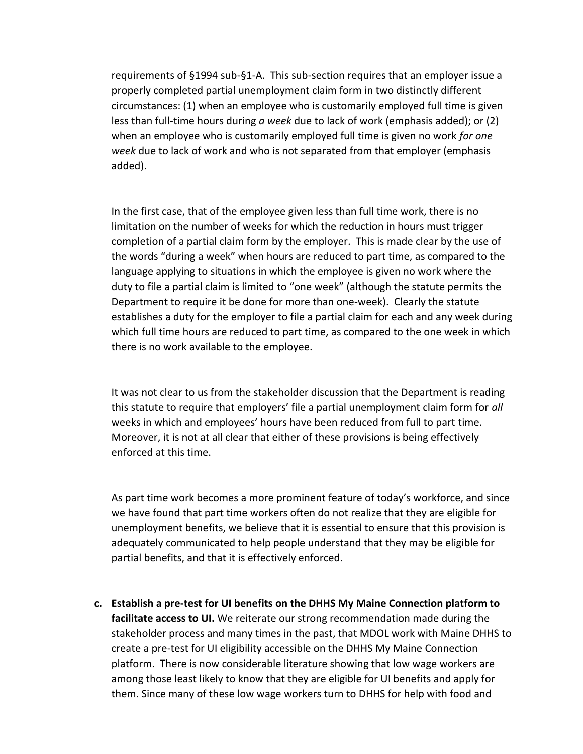requirements of §1994 sub-§1-A. This sub-section requires that an employer issue a properly completed partial unemployment claim form in two distinctly different circumstances: (1) when an employee who is customarily employed full time is given less than full-time hours during *a week* due to lack of work (emphasis added); or (2) when an employee who is customarily employed full time is given no work *for one week* due to lack of work and who is not separated from that employer (emphasis added).

In the first case, that of the employee given less than full time work, there is no limitation on the number of weeks for which the reduction in hours must trigger completion of a partial claim form by the employer. This is made clear by the use of the words "during a week" when hours are reduced to part time, as compared to the language applying to situations in which the employee is given no work where the duty to file a partial claim is limited to "one week" (although the statute permits the Department to require it be done for more than one-week). Clearly the statute establishes a duty for the employer to file a partial claim for each and any week during which full time hours are reduced to part time, as compared to the one week in which there is no work available to the employee.

It was not clear to us from the stakeholder discussion that the Department is reading this statute to require that employers' file a partial unemployment claim form for *all*  weeks in which and employees' hours have been reduced from full to part time. Moreover, it is not at all clear that either of these provisions is being effectively enforced at this time.

As part time work becomes a more prominent feature of today's workforce, and since we have found that part time workers often do not realize that they are eligible for unemployment benefits, we believe that it is essential to ensure that this provision is adequately communicated to help people understand that they may be eligible for partial benefits, and that it is effectively enforced.

**c. Establish a pre-test for UI benefits on the DHHS My Maine Connection platform to facilitate access to UI.** We reiterate our strong recommendation made during the stakeholder process and many times in the past, that MDOL work with Maine DHHS to create a pre-test for UI eligibility accessible on the DHHS My Maine Connection platform. There is now considerable literature showing that low wage workers are among those least likely to know that they are eligible for UI benefits and apply for them. Since many of these low wage workers turn to DHHS for help with food and